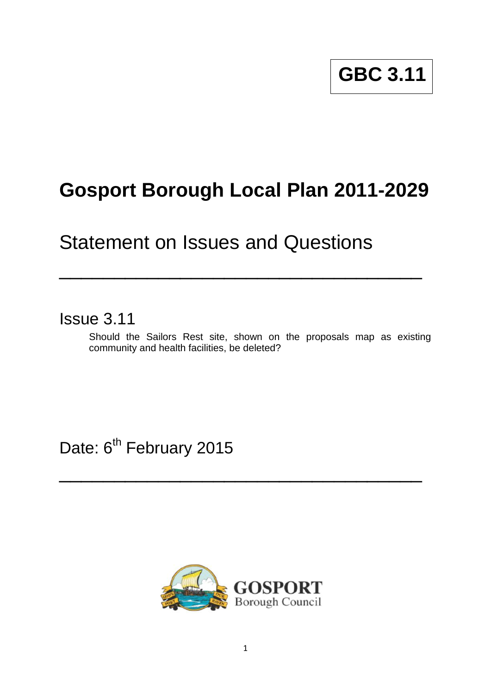# **GBC 3.11**

## **Gosport Borough Local Plan 2011-2029**

\_\_\_\_\_\_\_\_\_\_\_\_\_\_\_\_\_\_\_\_\_\_\_\_\_\_\_\_\_\_\_\_\_

### Statement on Issues and Questions

Issue 3.11

Should the Sailors Rest site, shown on the proposals map as existing community and health facilities, be deleted?

Date: 6<sup>th</sup> February 2015



 $\overline{\phantom{a}}$  , and the contract of the contract of the contract of the contract of the contract of the contract of the contract of the contract of the contract of the contract of the contract of the contract of the contrac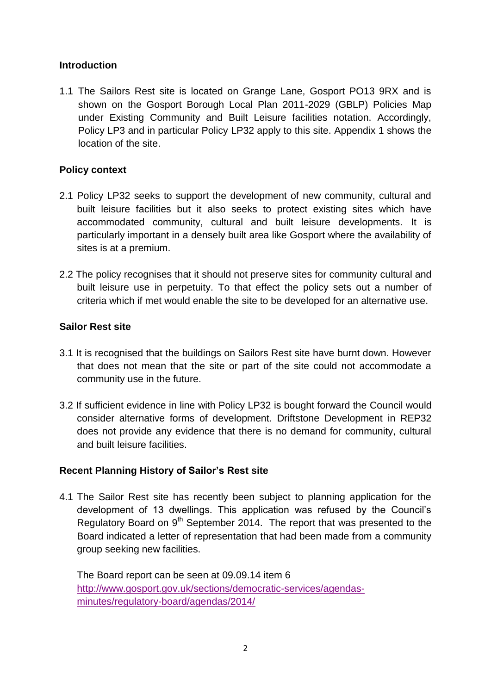#### **Introduction**

1.1 The Sailors Rest site is located on Grange Lane, Gosport PO13 9RX and is shown on the Gosport Borough Local Plan 2011-2029 (GBLP) Policies Map under Existing Community and Built Leisure facilities notation. Accordingly, Policy LP3 and in particular Policy LP32 apply to this site. Appendix 1 shows the location of the site.

#### **Policy context**

- 2.1 Policy LP32 seeks to support the development of new community, cultural and built leisure facilities but it also seeks to protect existing sites which have accommodated community, cultural and built leisure developments. It is particularly important in a densely built area like Gosport where the availability of sites is at a premium.
- 2.2 The policy recognises that it should not preserve sites for community cultural and built leisure use in perpetuity. To that effect the policy sets out a number of criteria which if met would enable the site to be developed for an alternative use.

#### **Sailor Rest site**

- 3.1 It is recognised that the buildings on Sailors Rest site have burnt down. However that does not mean that the site or part of the site could not accommodate a community use in the future.
- 3.2 If sufficient evidence in line with Policy LP32 is bought forward the Council would consider alternative forms of development. Driftstone Development in REP32 does not provide any evidence that there is no demand for community, cultural and built leisure facilities.

#### **Recent Planning History of Sailor's Rest site**

4.1 The Sailor Rest site has recently been subject to planning application for the development of 13 dwellings. This application was refused by the Council's Regulatory Board on 9<sup>th</sup> September 2014. The report that was presented to the Board indicated a letter of representation that had been made from a community group seeking new facilities.

The Board report can be seen at 09.09.14 item 6 [http://www.gosport.gov.uk/sections/democratic-services/agendas](http://www.gosport.gov.uk/sections/democratic-services/agendas-minutes/regulatory-board/agendas/2014/)[minutes/regulatory-board/agendas/2014/](http://www.gosport.gov.uk/sections/democratic-services/agendas-minutes/regulatory-board/agendas/2014/)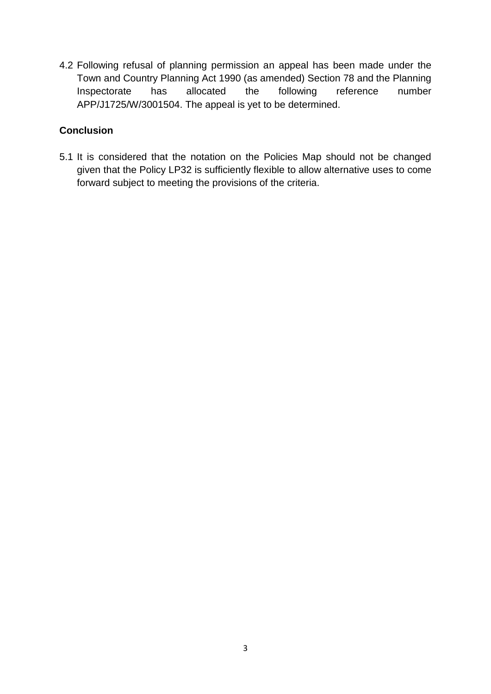4.2 Following refusal of planning permission an appeal has been made under the Town and Country Planning Act 1990 (as amended) Section 78 and the Planning Inspectorate has allocated the following reference number APP/J1725/W/3001504. The appeal is yet to be determined.

#### **Conclusion**

5.1 It is considered that the notation on the Policies Map should not be changed given that the Policy LP32 is sufficiently flexible to allow alternative uses to come forward subject to meeting the provisions of the criteria.